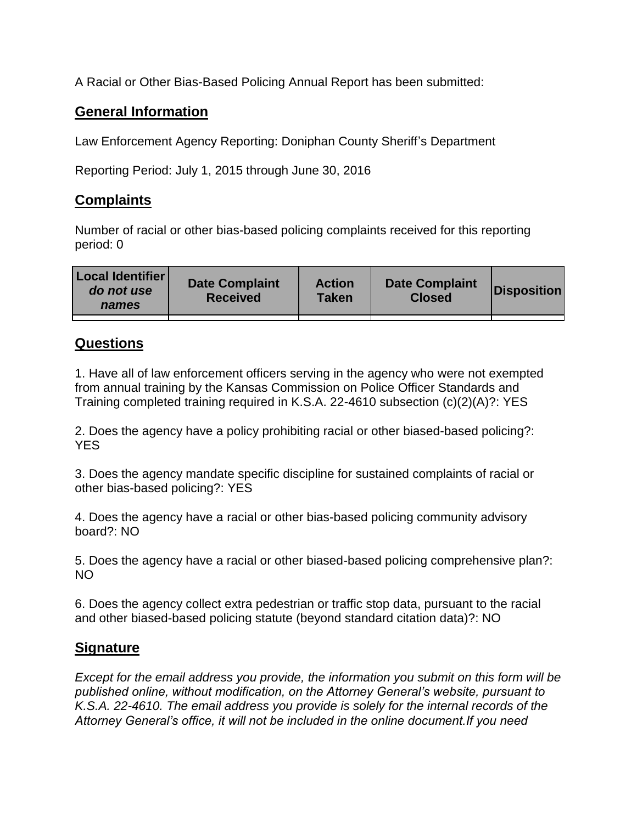A Racial or Other Bias-Based Policing Annual Report has been submitted:

## **General Information**

Law Enforcement Agency Reporting: Doniphan County Sheriff's Department

Reporting Period: July 1, 2015 through June 30, 2016

## **Complaints**

Number of racial or other bias-based policing complaints received for this reporting period: 0

| <b>Local Identifier</b><br>do not use<br>names | <b>Date Complaint</b><br><b>Received</b> | <b>Action</b><br><b>Taken</b> | <b>Date Complaint</b><br><b>Closed</b> | Disposition |
|------------------------------------------------|------------------------------------------|-------------------------------|----------------------------------------|-------------|
|                                                |                                          |                               |                                        |             |

## **Questions**

1. Have all of law enforcement officers serving in the agency who were not exempted from annual training by the Kansas Commission on Police Officer Standards and Training completed training required in K.S.A. 22-4610 subsection (c)(2)(A)?: YES

2. Does the agency have a policy prohibiting racial or other biased-based policing?: YES

3. Does the agency mandate specific discipline for sustained complaints of racial or other bias-based policing?: YES

4. Does the agency have a racial or other bias-based policing community advisory board?: NO

5. Does the agency have a racial or other biased-based policing comprehensive plan?: NO

6. Does the agency collect extra pedestrian or traffic stop data, pursuant to the racial and other biased-based policing statute (beyond standard citation data)?: NO

## **Signature**

*Except for the email address you provide, the information you submit on this form will be published online, without modification, on the Attorney General's website, pursuant to K.S.A. 22-4610. The email address you provide is solely for the internal records of the Attorney General's office, it will not be included in the online document.If you need*